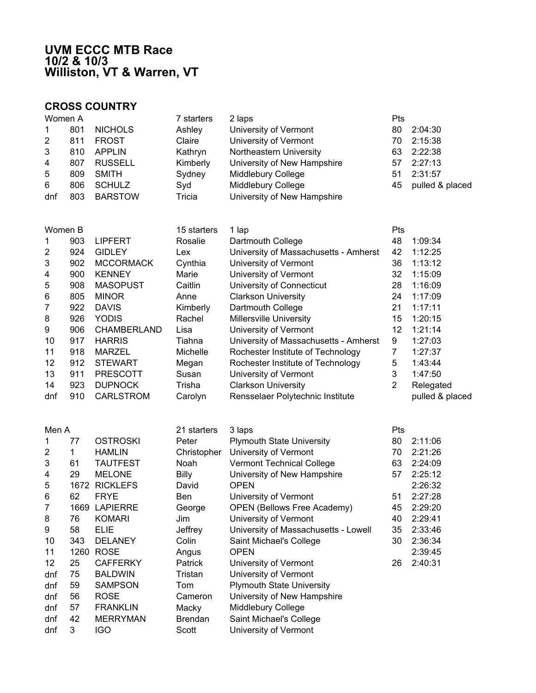## **UVM ECCC MTB Race 10/2 & 10/3 Williston, VT & Warren, VT**

## **CROSS COUNTRY**

| Women A |                | 7 starters | 2 laps                      | Pts |                 |
|---------|----------------|------------|-----------------------------|-----|-----------------|
| 801     | <b>NICHOLS</b> | Ashley     | University of Vermont       | 80  | 2:04:30         |
| 811     | <b>FROST</b>   | Claire     | University of Vermont       | 70  | 2:15:38         |
| 810     | APPLIN         | Kathryn    | Northeastern University     | 63  | 2:22:38         |
| 807     | <b>RUSSELL</b> | Kimberly   | University of New Hampshire | 57  | 2:27:13         |
| 809     | <b>SMITH</b>   | Sydney     | Middlebury College          | 51  | 2:31:57         |
| 806     | <b>SCHULZ</b>  | Syd        | Middlebury College          | 45  | pulled & placed |
| 803     | <b>BARSTOW</b> | Tricia     | University of New Hampshire |     |                 |
|         |                |            |                             |     |                 |

| Women B |     |                    | 15 starters | 1 lap                                 | Pts |                 |
|---------|-----|--------------------|-------------|---------------------------------------|-----|-----------------|
|         | 903 | <b>LIPFERT</b>     | Rosalie     | Dartmouth College                     | 48  | 1:09:34         |
| 2       | 924 | <b>GIDLEY</b>      | Lex         | University of Massachusetts - Amherst | 42  | 1:12:25         |
| 3       | 902 | <b>MCCORMACK</b>   | Cynthia     | University of Vermont                 | 36  | 1:13:12         |
| 4       | 900 | <b>KENNEY</b>      | Marie       | University of Vermont                 | 32  | 1:15:09         |
| 5       | 908 | <b>MASOPUST</b>    | Caitlin     | University of Connecticut             | 28  | 1:16:09         |
| 6       | 805 | <b>MINOR</b>       | Anne        | <b>Clarkson University</b>            | 24  | 1:17:09         |
| 7       | 922 | <b>DAVIS</b>       | Kimberly    | Dartmouth College                     | 21  | 1:17:11         |
| 8       | 926 | <b>YODIS</b>       | Rachel      | <b>Millersville University</b>        | 15  | 1:20:15         |
| 9       | 906 | <b>CHAMBERLAND</b> | Lisa        | University of Vermont                 | 12  | 1:21:14         |
| 10      | 917 | <b>HARRIS</b>      | Tiahna      | University of Massachusetts - Amherst | 9   | 1:27:03         |
| 11      | 918 | MARZEL             | Michelle    | Rochester Institute of Technology     |     | 1:27:37         |
| 12      | 912 | <b>STEWART</b>     | Megan       | Rochester Institute of Technology     | 5   | 1:43:44         |
| 13      | 911 | <b>PRESCOTT</b>    | Susan       | University of Vermont                 | 3   | 1:47:50         |
| 14      | 923 | <b>DUPNOCK</b>     | Trisha      | <b>Clarkson University</b>            | 2   | Relegated       |
| dnf     | 910 | <b>CARLSTROM</b>   | Carolyn     | Rensselaer Polytechnic Institute      |     | pulled & placed |

| Men A |      |                 | 21 starters    | 3 laps                               | Pts |         |
|-------|------|-----------------|----------------|--------------------------------------|-----|---------|
|       | 77   | <b>OSTROSKI</b> | Peter          | <b>Plymouth State University</b>     | 80  | 2:11:06 |
| 2     |      | <b>HAMLIN</b>   | Christopher    | University of Vermont                | 70  | 2:21:26 |
| 3     | 61   | TAUTFEST        | Noah           | <b>Vermont Technical College</b>     | 63  | 2:24:09 |
| 4     | 29   | <b>MELONE</b>   | Billy          | University of New Hampshire          | 57  | 2:25:12 |
| 5     | 1672 | <b>RICKLEFS</b> | David          | <b>OPEN</b>                          |     | 2:26:32 |
| 6     | 62   | <b>FRYE</b>     | Ben            | University of Vermont                | 51  | 2:27:28 |
| 7     | 1669 | <b>LAPIERRE</b> | George         | <b>OPEN (Bellows Free Academy)</b>   | 45  | 2:29:20 |
| 8     | 76   | <b>KOMARI</b>   | Jim            | University of Vermont                | 40  | 2:29:41 |
| 9     | 58   | ELIE            | Jeffrey        | University of Massachusetts - Lowell | 35  | 2:33:46 |
| 10    | 343  | <b>DELANEY</b>  | Colin          | Saint Michael's College              | 30  | 2:36:34 |
| 11    | 1260 | <b>ROSE</b>     | Angus          | <b>OPEN</b>                          |     | 2:39:45 |
| 12    | 25   | <b>CAFFERKY</b> | <b>Patrick</b> | University of Vermont                | 26  | 2:40:31 |
| dnf   | 75   | <b>BALDWIN</b>  | Tristan        | University of Vermont                |     |         |
| dnf   | 59   | <b>SAMPSON</b>  | Tom            | <b>Plymouth State University</b>     |     |         |
| dnf   | 56   | <b>ROSE</b>     | Cameron        | University of New Hampshire          |     |         |
| dnf   | 57   | <b>FRANKLIN</b> | Macky          | Middlebury College                   |     |         |
| dnf   | 42   | <b>MERRYMAN</b> | <b>Brendan</b> | Saint Michael's College              |     |         |
| dnf   | 3    | <b>IGO</b>      | Scott          | University of Vermont                |     |         |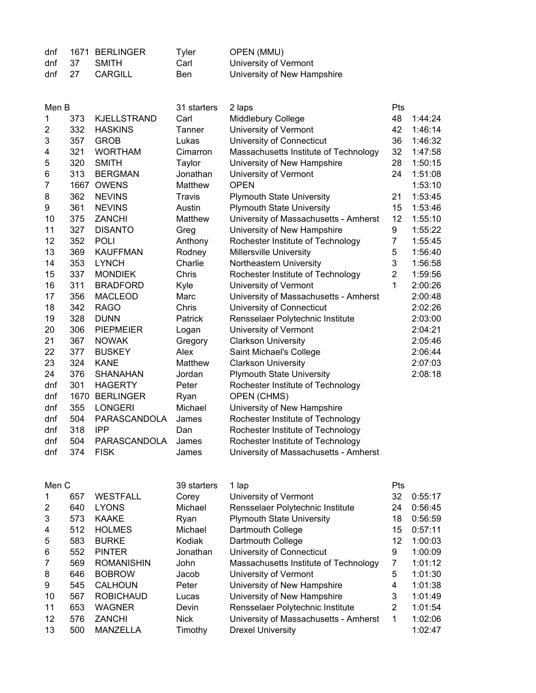| dnf |      | 1671 BERLINGER | Tvler | OPEN (MMU)                  |
|-----|------|----------------|-------|-----------------------------|
| dnf | - 37 | SMITH          | Carl  | University of Vermont       |
| dnf | 27   | CARGILL        | Ben   | University of New Hampshire |

| Men B          |      |                    | 31 starters | 2 laps                                | Pts            |         |
|----------------|------|--------------------|-------------|---------------------------------------|----------------|---------|
| 1              | 373  | <b>KJELLSTRAND</b> | Carl        | Middlebury College                    | 48             | 1:44:24 |
| $\overline{2}$ | 332  | <b>HASKINS</b>     | Tanner      | University of Vermont                 | 42             | 1:46:14 |
| 3              | 357  | <b>GROB</b>        | Lukas       | University of Connecticut             | 36             | 1:46:32 |
| 4              | 321  | <b>WORTHAM</b>     | Cimarron    | Massachusetts Institute of Technology | 32             | 1:47:58 |
| 5              | 320  | <b>SMITH</b>       | Taylor      | University of New Hampshire           | 28             | 1:50:15 |
| 6              | 313  | <b>BERGMAN</b>     | Jonathan    | University of Vermont                 | 24             | 1:51:08 |
| $\overline{7}$ | 1667 | <b>OWENS</b>       | Matthew     | <b>OPEN</b>                           |                | 1:53:10 |
| 8              | 362  | <b>NEVINS</b>      | Travis      | <b>Plymouth State University</b>      | 21             | 1:53:45 |
| 9              | 361  | <b>NEVINS</b>      | Austin      | <b>Plymouth State University</b>      | 15             | 1:53:46 |
| 10             | 375  | <b>ZANCHI</b>      | Matthew     | University of Massachusetts - Amherst | 12             | 1:55:10 |
| 11             | 327  | <b>DISANTO</b>     | Greg        | University of New Hampshire           | 9              | 1:55:22 |
| 12             | 352  | <b>POLI</b>        | Anthony     | Rochester Institute of Technology     | $\overline{7}$ | 1:55:45 |
| 13             | 369  | <b>KAUFFMAN</b>    | Rodney      | <b>Millersville University</b>        | 5              | 1:56:40 |
| 14             | 353  | <b>LYNCH</b>       | Charlie     | Northeastern University               | 3              | 1:56:58 |
| 15             | 337  | <b>MONDIEK</b>     | Chris       | Rochester Institute of Technology     | $\overline{2}$ | 1:59:56 |
| 16             | 311  | <b>BRADFORD</b>    | Kyle        | University of Vermont                 | 1              | 2:00:26 |
| 17             | 356  | <b>MACLEOD</b>     | Marc        | University of Massachusetts - Amherst |                | 2:00:48 |
| 18             | 342  | <b>RAGO</b>        | Chris       | University of Connecticut             |                | 2:02:26 |
| 19             | 328  | <b>DUNN</b>        | Patrick     | Rensselaer Polytechnic Institute      |                | 2:03:00 |
| 20             | 306  | <b>PIEPMEIER</b>   | Logan       | University of Vermont                 |                | 2:04:21 |
| 21             | 367  | <b>NOWAK</b>       | Gregory     | <b>Clarkson University</b>            |                | 2:05:46 |
| 22             | 377  | <b>BUSKEY</b>      | Alex        | Saint Michael's College               |                | 2:06:44 |
| 23             | 324  | <b>KANE</b>        | Matthew     | <b>Clarkson University</b>            |                | 2:07:03 |
| 24             | 376  | <b>SHANAHAN</b>    | Jordan      | <b>Plymouth State University</b>      |                | 2:08:18 |
| dnf            | 301  | <b>HAGERTY</b>     | Peter       | Rochester Institute of Technology     |                |         |
| dnf            | 1670 | <b>BERLINGER</b>   | Ryan        | OPEN (CHMS)                           |                |         |
| dnf            | 355  | <b>LONGERI</b>     | Michael     | University of New Hampshire           |                |         |
| dnf            | 504  | PARASCANDOLA       | James       | Rochester Institute of Technology     |                |         |
| dnf            | 318  | <b>IPP</b>         | Dan         | Rochester Institute of Technology     |                |         |
| dnf            | 504  | PARASCANDOLA       | James       | Rochester Institute of Technology     |                |         |
| dnf            | 374  | <b>FISK</b>        | James       | University of Massachusetts - Amherst |                |         |

| Men C             |     |                   | 39 starters | 1 lap                                 | Pts            |         |
|-------------------|-----|-------------------|-------------|---------------------------------------|----------------|---------|
| 1                 | 657 | <b>WESTFALL</b>   | Corey       | University of Vermont                 | 32             | 0:55:17 |
| $\overline{2}$    | 640 | <b>LYONS</b>      | Michael     | Rensselaer Polytechnic Institute      | 24             | 0:56:45 |
| 3                 | 573 | <b>KAAKE</b>      | Rvan        | <b>Plymouth State University</b>      | 18             | 0:56:59 |
| 4                 | 512 | <b>HOLMES</b>     | Michael     | Dartmouth College                     | 15             | 0:57:11 |
| 5                 | 583 | <b>BURKE</b>      | Kodiak      | Dartmouth College                     | 12             | 1:00:03 |
| 6                 | 552 | <b>PINTER</b>     | Jonathan    | University of Connecticut             | 9              | 1:00:09 |
| 7                 | 569 | <b>ROMANISHIN</b> | John        | Massachusetts Institute of Technology | 7              | 1:01:12 |
| 8                 | 646 | <b>BOBROW</b>     | Jacob       | University of Vermont                 | 5              | 1:01:30 |
| 9                 | 545 | <b>CALHOUN</b>    | Peter       | University of New Hampshire           | 4              | 1:01:38 |
| 10                | 567 | <b>ROBICHAUD</b>  | Lucas       | University of New Hampshire           | 3              | 1:01:49 |
| 11                | 653 | <b>WAGNER</b>     | Devin       | Rensselaer Polytechnic Institute      | $\overline{2}$ | 1:01:54 |
| $12 \overline{ }$ | 576 | <b>ZANCHI</b>     | <b>Nick</b> | University of Massachusetts - Amherst | 1              | 1:02:06 |
| 13                | 500 | <b>MANZELLA</b>   | Timothy     | <b>Drexel University</b>              |                | 1:02:47 |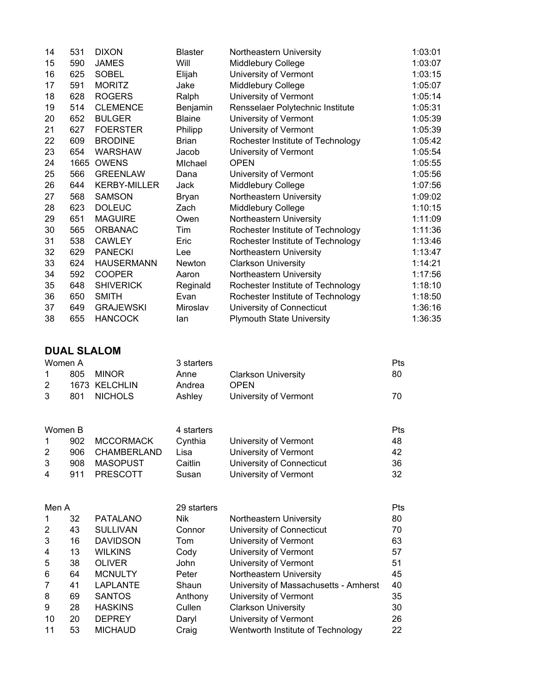| 14 | 531  | <b>DIXON</b>        | <b>Blaster</b> | Northeastern University           | 1:03:01 |
|----|------|---------------------|----------------|-----------------------------------|---------|
| 15 | 590  | <b>JAMES</b>        | Will           | Middlebury College                | 1:03:07 |
| 16 | 625  | <b>SOBEL</b>        | Elijah         | University of Vermont             | 1:03:15 |
| 17 | 591  | <b>MORITZ</b>       | Jake           | Middlebury College                | 1:05:07 |
| 18 | 628  | <b>ROGERS</b>       | Ralph          | University of Vermont             | 1:05:14 |
| 19 | 514  | <b>CLEMENCE</b>     | Benjamin       | Rensselaer Polytechnic Institute  | 1:05:31 |
| 20 | 652  | <b>BULGER</b>       | <b>Blaine</b>  | University of Vermont             | 1:05:39 |
| 21 | 627  | <b>FOERSTER</b>     | Philipp        | University of Vermont             | 1:05:39 |
| 22 | 609  | <b>BRODINE</b>      | <b>Brian</b>   | Rochester Institute of Technology | 1:05:42 |
| 23 | 654  | <b>WARSHAW</b>      | Jacob          | University of Vermont             | 1:05:54 |
| 24 | 1665 | <b>OWENS</b>        | Michael        | <b>OPEN</b>                       | 1:05:55 |
| 25 | 566  | <b>GREENLAW</b>     | Dana           | University of Vermont             | 1:05:56 |
| 26 | 644  | <b>KERBY-MILLER</b> | Jack           | Middlebury College                | 1:07:56 |
| 27 | 568  | <b>SAMSON</b>       | <b>Bryan</b>   | Northeastern University           | 1:09:02 |
| 28 | 623  | <b>DOLEUC</b>       | Zach           | Middlebury College                | 1:10:15 |
| 29 | 651  | <b>MAGUIRE</b>      | Owen           | Northeastern University           | 1:11:09 |
| 30 | 565  | <b>ORBANAC</b>      | Tim            | Rochester Institute of Technology | 1:11:36 |
| 31 | 538  | <b>CAWLEY</b>       | Eric           | Rochester Institute of Technology | 1:13:46 |
| 32 | 629  | <b>PANECKI</b>      | Lee            | Northeastern University           | 1:13:47 |
| 33 | 624  | <b>HAUSERMANN</b>   | Newton         | <b>Clarkson University</b>        | 1:14:21 |
| 34 | 592  | <b>COOPER</b>       | Aaron          | Northeastern University           | 1:17:56 |
| 35 | 648  | <b>SHIVERICK</b>    | Reginald       | Rochester Institute of Technology | 1:18:10 |
| 36 | 650  | <b>SMITH</b>        | Evan           | Rochester Institute of Technology | 1:18:50 |
| 37 | 649  | <b>GRAJEWSKI</b>    | Miroslav       | University of Connecticut         | 1:36:16 |
| 38 | 655  | <b>HANCOCK</b>      | lan            | <b>Plymouth State University</b>  | 1:36:35 |
|    |      |                     |                |                                   |         |

**DUAL SLALOM**

|   | Women A |               | 3 starters |                            | Pts |
|---|---------|---------------|------------|----------------------------|-----|
|   | 805     | MINOR         | Anne       | <b>Clarkson University</b> | 80  |
|   |         | 1673 KELCHLIN | Andrea     | <b>OPEN</b>                |     |
| 3 |         | 801 NICHOLS   | Ashlev     | University of Vermont      | 70. |

| Women B               |      |                  | 4 starters |                           | <b>Pts</b> |
|-----------------------|------|------------------|------------|---------------------------|------------|
|                       | 902  | <b>MCCORMACK</b> | Cynthia    | University of Vermont     | 48         |
| 2                     | 906. | CHAMBERLAND      | Lisa       | University of Vermont     | -42        |
| 3                     | 908  | MASOPUST         | Caitlin    | University of Connecticut | 36         |
| $\boldsymbol{\Delta}$ | 911  | PRESCOTT         | Susan      | University of Vermont     | 32         |

| Men A |    |                 | 29 starters |                                       | Pts |
|-------|----|-----------------|-------------|---------------------------------------|-----|
| 1     | 32 | <b>PATALANO</b> | Nik         | Northeastern University               | 80  |
| 2     | 43 | <b>SULLIVAN</b> | Connor      | University of Connecticut             | 70  |
| 3     | 16 | <b>DAVIDSON</b> | Tom         | University of Vermont                 | 63  |
| 4     | 13 | <b>WILKINS</b>  | Cody        | University of Vermont                 | 57  |
| 5     | 38 | <b>OLIVER</b>   | <b>John</b> | University of Vermont                 | 51  |
| 6     | 64 | <b>MCNULTY</b>  | Peter       | Northeastern University               | 45  |
| 7     | 41 | <b>LAPLANTE</b> | Shaun       | University of Massachusetts - Amherst | 40  |
| 8     | 69 | <b>SANTOS</b>   | Anthony     | University of Vermont                 | 35  |
| 9     | 28 | <b>HASKINS</b>  | Cullen      | <b>Clarkson University</b>            | 30  |
| 10    | 20 | <b>DEPREY</b>   | Daryl       | University of Vermont                 | 26  |
| 11    | 53 | <b>MICHAUD</b>  | Craig       | Wentworth Institute of Technology     | 22  |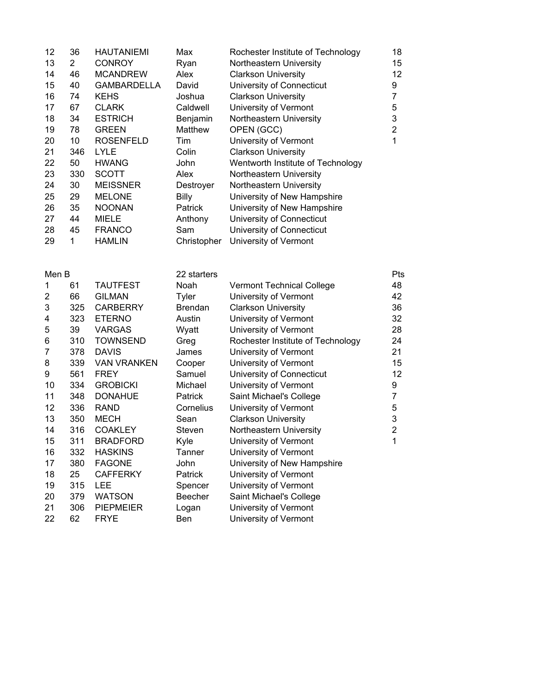| 12 | 36  | <b>HAUTANIEMI</b>  | Max            | Rochester Institute of Technology | 18 |
|----|-----|--------------------|----------------|-----------------------------------|----|
| 13 | 2   | <b>CONROY</b>      | Ryan           | Northeastern University           | 15 |
| 14 | 46  | <b>MCANDREW</b>    | Alex           | <b>Clarkson University</b>        | 12 |
| 15 | 40  | <b>GAMBARDELLA</b> | David          | University of Connecticut         | 9  |
| 16 | 74  | <b>KEHS</b>        | Joshua         | <b>Clarkson University</b>        | 7  |
| 17 | 67  | <b>CLARK</b>       | Caldwell       | University of Vermont             | 5  |
| 18 | 34  | <b>ESTRICH</b>     | Benjamin       | Northeastern University           | 3  |
| 19 | 78  | <b>GREEN</b>       | Matthew        | OPEN (GCC)                        | 2  |
| 20 | 10  | <b>ROSENFELD</b>   | Tim            | University of Vermont             | 1  |
| 21 | 346 | <b>LYLE</b>        | Colin          | <b>Clarkson University</b>        |    |
| 22 | 50  | <b>HWANG</b>       | John           | Wentworth Institute of Technology |    |
| 23 | 330 | <b>SCOTT</b>       | Alex           | Northeastern University           |    |
| 24 | 30  | <b>MEISSNER</b>    | Destrover      | Northeastern University           |    |
| 25 | 29  | <b>MELONE</b>      | Billy          | University of New Hampshire       |    |
| 26 | 35  | <b>NOONAN</b>      | <b>Patrick</b> | University of New Hampshire       |    |
| 27 | 44  | <b>MIELE</b>       | Anthony        | University of Connecticut         |    |
| 28 | 45  | <b>FRANCO</b>      | Sam            | University of Connecticut         |    |
| 29 | 1   | <b>HAMLIN</b>      | Christopher    | University of Vermont             |    |

| Men B          |     |                    | 22 starters    |                                   | Pts         |
|----------------|-----|--------------------|----------------|-----------------------------------|-------------|
| 1              | 61  | <b>TAUTFEST</b>    | Noah           | <b>Vermont Technical College</b>  | 48          |
| $\overline{2}$ | 66  | <b>GILMAN</b>      | Tyler          | University of Vermont             | 42          |
| 3              | 325 | <b>CARBERRY</b>    | <b>Brendan</b> | <b>Clarkson University</b>        | 36          |
| 4              | 323 | <b>ETERNO</b>      | Austin         | University of Vermont             | 32          |
| 5              | 39  | <b>VARGAS</b>      | Wyatt          | University of Vermont             | 28          |
| 6              | 310 | <b>TOWNSEND</b>    | Greg           | Rochester Institute of Technology | 24          |
| 7              | 378 | <b>DAVIS</b>       | James          | University of Vermont             | 21          |
| 8              | 339 | <b>VAN VRANKEN</b> | Cooper         | University of Vermont             | 15          |
| 9              | 561 | <b>FREY</b>        | Samuel         | University of Connecticut         | 12          |
| 10             | 334 | <b>GROBICKI</b>    | Michael        | University of Vermont             | 9           |
| 11             | 348 | <b>DONAHUE</b>     | Patrick        | Saint Michael's College           | 7           |
| 12             | 336 | <b>RAND</b>        | Cornelius      | University of Vermont             | 5           |
| 13             | 350 | <b>MECH</b>        | Sean           | <b>Clarkson University</b>        | 3           |
| 14             | 316 | <b>COAKLEY</b>     | Steven         | Northeastern University           | $\mathbf 2$ |
| 15             | 311 | <b>BRADFORD</b>    | Kyle           | University of Vermont             | 1           |
| 16             | 332 | <b>HASKINS</b>     | Tanner         | University of Vermont             |             |
| 17             | 380 | <b>FAGONE</b>      | John           | University of New Hampshire       |             |
| 18             | 25  | <b>CAFFERKY</b>    | Patrick        | University of Vermont             |             |
| 19             | 315 | <b>LEE</b>         | Spencer        | University of Vermont             |             |
| 20             | 379 | <b>WATSON</b>      | <b>Beecher</b> | Saint Michael's College           |             |
| 21             | 306 | <b>PIEPMEIER</b>   | Logan          | University of Vermont             |             |
| 22             | 62  | <b>FRYE</b>        | Ben            | University of Vermont             |             |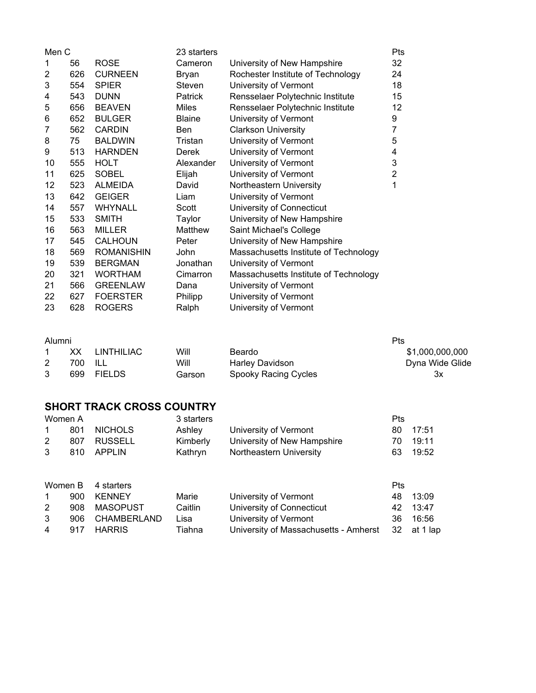| Men C          |     |                   | 23 starters   |                                       | Pts            |
|----------------|-----|-------------------|---------------|---------------------------------------|----------------|
| 1              | 56  | <b>ROSE</b>       | Cameron       | University of New Hampshire           | 32             |
| $\overline{2}$ | 626 | <b>CURNEEN</b>    | Bryan         | Rochester Institute of Technology     | 24             |
| 3              | 554 | <b>SPIER</b>      | Steven        | University of Vermont                 | 18             |
| 4              | 543 | <b>DUNN</b>       | Patrick       | Rensselaer Polytechnic Institute      | 15             |
| 5              | 656 | <b>BEAVEN</b>     | <b>Miles</b>  | Rensselaer Polytechnic Institute      | 12             |
| 6              | 652 | <b>BULGER</b>     | <b>Blaine</b> | University of Vermont                 | 9              |
| 7              | 562 | <b>CARDIN</b>     | <b>Ben</b>    | <b>Clarkson University</b>            | 7              |
| 8              | 75  | <b>BALDWIN</b>    | Tristan       | University of Vermont                 | 5              |
| 9              | 513 | <b>HARNDEN</b>    | Derek         | University of Vermont                 | 4              |
| 10             | 555 | <b>HOLT</b>       | Alexander     | University of Vermont                 | 3              |
| 11             | 625 | <b>SOBEL</b>      | Elijah        | University of Vermont                 | $\overline{2}$ |
| 12             | 523 | <b>ALMEIDA</b>    | David         | Northeastern University               | 1              |
| 13             | 642 | <b>GEIGER</b>     | Liam          | University of Vermont                 |                |
| 14             | 557 | <b>WHYNALL</b>    | Scott         | University of Connecticut             |                |
| 15             | 533 | <b>SMITH</b>      | Taylor        | University of New Hampshire           |                |
| 16             | 563 | <b>MILLER</b>     | Matthew       | Saint Michael's College               |                |
| 17             | 545 | <b>CALHOUN</b>    | Peter         | University of New Hampshire           |                |
| 18             | 569 | <b>ROMANISHIN</b> | John          | Massachusetts Institute of Technology |                |
| 19             | 539 | <b>BERGMAN</b>    | Jonathan      | University of Vermont                 |                |
| 20             | 321 | <b>WORTHAM</b>    | Cimarron      | Massachusetts Institute of Technology |                |
| 21             | 566 | <b>GREENLAW</b>   | Dana          | University of Vermont                 |                |
| 22             | 627 | <b>FOERSTER</b>   | Philipp       | University of Vermont                 |                |
| 23             | 628 | <b>ROGERS</b>     | Ralph         | University of Vermont                 |                |

### Alumni

| Alumni<br>Pts |            |        |                        |                 |  |  |
|---------------|------------|--------|------------------------|-----------------|--|--|
| xх            | LINTHILIAC | Will   | Beardo                 | \$1,000,000,000 |  |  |
| 700.          | - ILL      | Will   | <b>Harley Davidson</b> | Dyna Wide Glide |  |  |
| 699           | FIELDS     | Garson | Spooky Racing Cycles   | Зx              |  |  |

#### **SHORT TRACK CROSS COUNTRY**

| Women A              |     |                | 3 starters |                             | <b>Pts</b> |          |
|----------------------|-----|----------------|------------|-----------------------------|------------|----------|
| 1                    | 801 | <b>NICHOLS</b> | Ashley     | University of Vermont       |            | 80 17:51 |
| $\mathbf{2}^{\circ}$ |     | 807 RUSSELL    | Kimberly   | University of New Hampshire | 70.        | 19:11    |
|                      |     | 810 APPLIN     | Kathryn    | Northeastern University     | 63.        | 19:52    |
|                      |     |                |            |                             |            |          |

| Women B 4 starters |  |                 | <b>Pts</b> |                                                   |  |          |
|--------------------|--|-----------------|------------|---------------------------------------------------|--|----------|
| 1                  |  | 900 KENNEY      | Marie      | University of Vermont                             |  | 48 13:09 |
| 2                  |  | 908 MASOPUST    | Caitlin    | University of Connecticut                         |  | 42 13:47 |
| 3                  |  | 906 CHAMBERLAND | Lisa       | University of Vermont                             |  | 36 16:56 |
| $\overline{4}$     |  | 917 HARRIS      | Tiahna     | University of Massachusetts - Amherst 32 at 1 lap |  |          |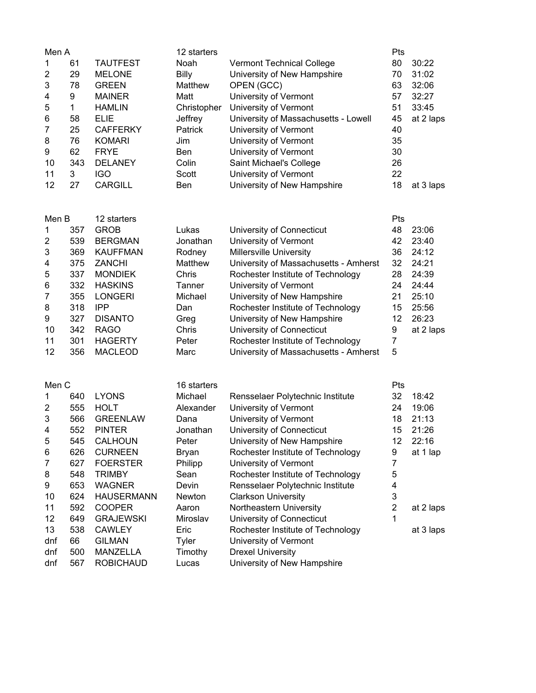| Men A               |            |                                    | 12 starters        |                                                                | Pts                 |                |
|---------------------|------------|------------------------------------|--------------------|----------------------------------------------------------------|---------------------|----------------|
| 1                   | 61         | <b>TAUTFEST</b>                    | Noah               | <b>Vermont Technical College</b>                               | 80                  | 30:22          |
| 2                   | 29<br>78   | <b>MELONE</b>                      | Billy              | University of New Hampshire                                    | 70                  | 31:02          |
| 3<br>4              | 9          | <b>GREEN</b><br><b>MAINER</b>      | Matthew<br>Matt    | OPEN (GCC)<br>University of Vermont                            | 63<br>57            | 32:06<br>32:27 |
| 5                   | 1          | <b>HAMLIN</b>                      | Christopher        | University of Vermont                                          | 51                  | 33:45          |
| 6                   | 58         | <b>ELIE</b>                        | Jeffrey            | University of Massachusetts - Lowell                           | 45                  | at 2 laps      |
| 7                   | 25         | <b>CAFFERKY</b>                    | Patrick            | University of Vermont                                          | 40                  |                |
| 8                   | 76         | <b>KOMARI</b>                      | Jim                | University of Vermont                                          | 35                  |                |
| 9                   | 62         | <b>FRYE</b>                        | Ben                | University of Vermont                                          | 30                  |                |
| 10<br>11            | 343<br>3   | <b>DELANEY</b><br><b>IGO</b>       | Colin<br>Scott     | Saint Michael's College<br>University of Vermont               | 26<br>22            |                |
| 12                  | 27         | <b>CARGILL</b>                     | Ben                | University of New Hampshire                                    | 18                  | at 3 laps      |
|                     |            |                                    |                    |                                                                |                     |                |
| Men B               |            | 12 starters                        |                    |                                                                | Pts                 |                |
| 1                   | 357        | <b>GROB</b>                        | Lukas              | University of Connecticut                                      | 48                  | 23:06          |
| 2<br>3              | 539<br>369 | <b>BERGMAN</b><br><b>KAUFFMAN</b>  | Jonathan<br>Rodney | University of Vermont<br>Millersville University               | 42<br>36            | 23:40<br>24:12 |
| 4                   | 375        | <b>ZANCHI</b>                      | Matthew            | University of Massachusetts - Amherst                          | 32                  | 24:21          |
| 5                   | 337        | <b>MONDIEK</b>                     | Chris              | Rochester Institute of Technology                              | 28                  | 24:39          |
| 6                   | 332        | <b>HASKINS</b>                     | Tanner             | University of Vermont                                          | 24                  | 24:44          |
| 7                   | 355        | <b>LONGERI</b>                     | Michael            | University of New Hampshire                                    | 21                  | 25:10          |
| 8                   | 318        | <b>IPP</b>                         | Dan                | Rochester Institute of Technology                              | 15                  | 25:56          |
| 9                   | 327        | <b>DISANTO</b>                     | Greg               | University of New Hampshire                                    | 12                  | 26:23          |
| 10<br>11            | 342<br>301 | <b>RAGO</b><br><b>HAGERTY</b>      | Chris<br>Peter     | University of Connecticut<br>Rochester Institute of Technology | 9<br>$\overline{7}$ | at 2 laps      |
| 12                  | 356        | <b>MACLEOD</b>                     | Marc               | University of Massachusetts - Amherst                          | 5                   |                |
|                     |            |                                    |                    |                                                                |                     |                |
| Men C               |            |                                    | 16 starters        |                                                                | Pts                 |                |
| 1                   | 640        | <b>LYONS</b>                       | Michael            | Rensselaer Polytechnic Institute                               | 32                  | 18:42          |
| $\overline{2}$<br>3 | 555<br>566 | <b>HOLT</b><br><b>GREENLAW</b>     | Alexander<br>Dana  | University of Vermont<br>University of Vermont                 | 24<br>18            | 19:06<br>21:13 |
| 4                   | 552        | <b>PINTER</b>                      | Jonathan           | University of Connecticut                                      | 15                  | 21:26          |
| 5                   | 545        | <b>CALHOUN</b>                     | Peter              | University of New Hampshire                                    | 12                  | 22:16          |
| 6                   | 626        | <b>CURNEEN</b>                     | <b>Bryan</b>       | Rochester Institute of Technology                              | 9                   | at 1 lap       |
| 7                   | 627        | <b>FOERSTER</b>                    | Philipp            | University of Vermont                                          | 7                   |                |
| 8                   | 548        | <b>TRIMBY</b>                      | Sean               | Rochester Institute of Technology                              | 5<br>4              |                |
| 9<br>10             | 653<br>624 | <b>WAGNER</b><br><b>HAUSERMANN</b> | Devin<br>Newton    | Rensselaer Polytechnic Institute<br><b>Clarkson University</b> | 3                   |                |
| 11                  | 592        | <b>COOPER</b>                      | Aaron              | Northeastern University                                        | $\overline{2}$      | at 2 laps      |
| 12                  | 649        | <b>GRAJEWSKI</b>                   | Miroslav           | University of Connecticut                                      | 1                   |                |
| 13                  | 538        | <b>CAWLEY</b>                      | Eric               | Rochester Institute of Technology                              |                     | at 3 laps      |
| dnf                 | 66         | <b>GILMAN</b>                      | Tyler              | University of Vermont                                          |                     |                |
| dnf                 | 500        | MANZELLA                           | Timothy            | <b>Drexel University</b>                                       |                     |                |
| dnf                 | 567        | <b>ROBICHAUD</b>                   | Lucas              | University of New Hampshire                                    |                     |                |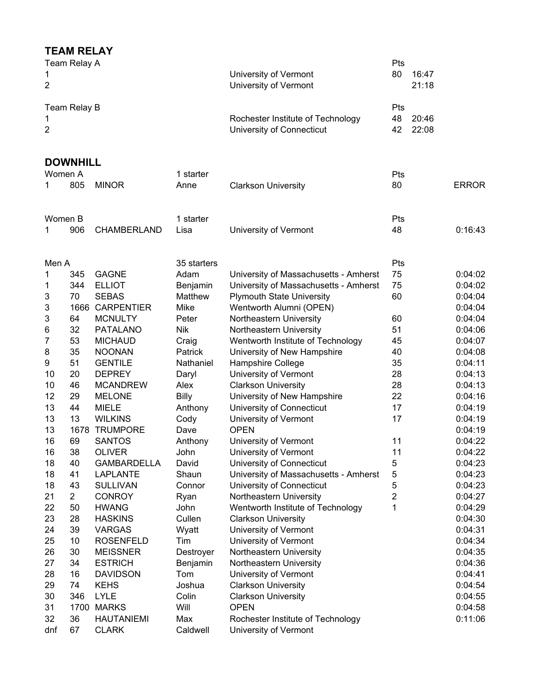# **TEAM RELAY**

| 1<br>2   | Team Relay A    |                                |                | University of Vermont<br>University of Vermont                 | <b>Pts</b><br>80       | 16:47<br>21:18 |                    |
|----------|-----------------|--------------------------------|----------------|----------------------------------------------------------------|------------------------|----------------|--------------------|
| 1<br>2   | Team Relay B    |                                |                | Rochester Institute of Technology<br>University of Connecticut | <b>Pts</b><br>48<br>42 | 20:46<br>22:08 |                    |
|          | <b>DOWNHILL</b> |                                |                |                                                                |                        |                |                    |
| Women A  |                 |                                | 1 starter      |                                                                | <b>Pts</b>             |                |                    |
| 1        | 805             | <b>MINOR</b>                   | Anne           | <b>Clarkson University</b>                                     | 80                     |                | <b>ERROR</b>       |
| Women B  |                 |                                | 1 starter      |                                                                | Pts                    |                |                    |
| 1        | 906             | CHAMBERLAND                    | Lisa           | University of Vermont                                          | 48                     |                | 0:16:43            |
| Men A    |                 |                                | 35 starters    |                                                                | Pts                    |                |                    |
| 1        | 345             | <b>GAGNE</b>                   | Adam           | University of Massachusetts - Amherst                          | 75                     |                | 0:04:02            |
| 1        | 344             | <b>ELLIOT</b>                  | Benjamin       | University of Massachusetts - Amherst                          | 75                     |                | 0:04:02            |
| 3        | 70              | <b>SEBAS</b>                   | Matthew        | <b>Plymouth State University</b>                               | 60                     |                | 0:04:04            |
| 3        |                 | 1666 CARPENTIER                | Mike           | Wentworth Alumni (OPEN)                                        |                        |                | 0:04:04            |
| 3        | 64              | <b>MCNULTY</b>                 | Peter          | Northeastern University                                        | 60                     |                | 0:04:04            |
| 6        | 32              | <b>PATALANO</b>                | <b>Nik</b>     | Northeastern University                                        | 51                     |                | 0:04:06            |
| 7        | 53              | <b>MICHAUD</b>                 | Craig          | Wentworth Institute of Technology                              | 45                     |                | 0:04:07            |
| 8        | 35              | <b>NOONAN</b>                  | Patrick        | University of New Hampshire                                    | 40                     |                | 0:04:08            |
| 9        | 51              | <b>GENTILE</b>                 | Nathaniel      | Hampshire College                                              | 35                     |                | 0:04:11            |
| 10       | 20              | <b>DEPREY</b>                  | Daryl          | University of Vermont                                          | 28                     |                | 0:04:13            |
| 10       | 46              | <b>MCANDREW</b>                | Alex           | <b>Clarkson University</b>                                     | 28                     |                | 0:04:13            |
| 12       | 29              | <b>MELONE</b>                  | <b>Billy</b>   | University of New Hampshire                                    | 22                     |                | 0:04:16            |
| 13       | 44              | <b>MIELE</b>                   | Anthony        | University of Connecticut                                      | 17                     |                | 0:04:19            |
| 13       | 13              | <b>WILKINS</b>                 | Cody           | University of Vermont                                          | 17                     |                | 0:04:19            |
| 13       | 1678            | <b>TRUMPORE</b>                | Dave           | <b>OPEN</b>                                                    |                        |                | 0:04:19            |
| 16       | 69              | <b>SANTOS</b>                  | Anthony        | University of Vermont                                          | 11                     |                | 0:04:22            |
| 16       | 38              | <b>OLIVER</b>                  | John           | University of Vermont                                          | 11                     |                | 0:04:22            |
| 18       | 40              | <b>GAMBARDELLA</b>             | David          | University of Connecticut                                      | 5                      |                | 0:04:23            |
| 18       | 41              | <b>LAPLANTE</b>                | Shaun          | University of Massachusetts - Amherst                          | 5                      |                | 0:04:23            |
| 18       | 43              | <b>SULLIVAN</b>                | Connor         | University of Connecticut                                      | 5                      |                | 0:04:23            |
| 21       | $\overline{2}$  | <b>CONROY</b>                  | Ryan           | Northeastern University                                        | 2                      |                | 0:04:27            |
| 22<br>23 | 50<br>28        | <b>HWANG</b><br><b>HASKINS</b> | John<br>Cullen | Wentworth Institute of Technology                              | 1                      |                | 0:04:29<br>0:04:30 |
| 24       | 39              | <b>VARGAS</b>                  | Wyatt          | <b>Clarkson University</b><br>University of Vermont            |                        |                | 0:04:31            |
| 25       | 10              | <b>ROSENFELD</b>               | Tim            | University of Vermont                                          |                        |                | 0:04:34            |
| 26       | 30              | <b>MEISSNER</b>                | Destroyer      | Northeastern University                                        |                        |                | 0:04:35            |
| 27       | 34              | <b>ESTRICH</b>                 | Benjamin       | Northeastern University                                        |                        |                | 0:04:36            |
| 28       | 16              | <b>DAVIDSON</b>                | Tom            | University of Vermont                                          |                        |                | 0:04:41            |
| 29       | 74              | <b>KEHS</b>                    | Joshua         | <b>Clarkson University</b>                                     |                        |                | 0:04:54            |
| 30       | 346             | <b>LYLE</b>                    | Colin          | <b>Clarkson University</b>                                     |                        |                | 0:04:55            |
| 31       | 1700            | <b>MARKS</b>                   | Will           | <b>OPEN</b>                                                    |                        |                | 0:04:58            |
| 32       | 36              | <b>HAUTANIEMI</b>              | Max            | Rochester Institute of Technology                              |                        |                | 0:11:06            |
| dnf      | 67              | <b>CLARK</b>                   | Caldwell       | University of Vermont                                          |                        |                |                    |